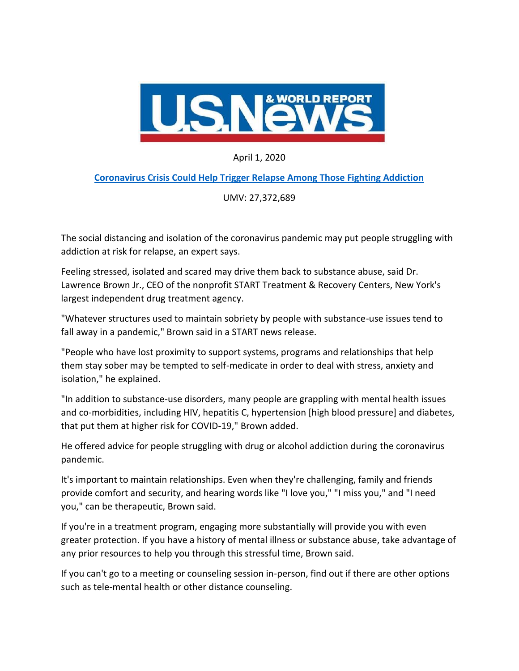

April 1, 2020

## **[Coronavirus Crisis Could Help Trigger Relapse Among Those Fighting Addiction](https://www.usnews.com/news/health-news/articles/2020-04-01/coronavirus-crisis-could-help-trigger-relapse-among-those-fighting-addiction)**

UMV: 27,372,689

The social distancing and isolation of the coronavirus pandemic may put people struggling with addiction at risk for relapse, an expert says.

Feeling stressed, isolated and scared may drive them back to substance abuse, said Dr. Lawrence Brown Jr., CEO of the nonprofit START Treatment & Recovery Centers, New York's largest independent drug treatment agency.

"Whatever structures used to maintain sobriety by people with substance-use issues tend to fall away in a pandemic," Brown said in a START news release.

"People who have lost proximity to support systems, programs and relationships that help them stay sober may be tempted to self-medicate in order to deal with stress, anxiety and isolation," he explained.

"In addition to substance-use disorders, many people are grappling with mental health issues and co-morbidities, including HIV, hepatitis C, hypertension [high blood pressure] and diabetes, that put them at higher risk for COVID-19," Brown added.

He offered advice for people struggling with drug or alcohol addiction during the coronavirus pandemic.

It's important to maintain relationships. Even when they're challenging, family and friends provide comfort and security, and hearing words like "I love you," "I miss you," and "I need you," can be therapeutic, Brown said.

If you're in a treatment program, engaging more substantially will provide you with even greater protection. If you have a history of mental illness or substance abuse, take advantage of any prior resources to help you through this stressful time, Brown said.

If you can't go to a meeting or counseling session in-person, find out if there are other options such as tele-mental health or other distance counseling.